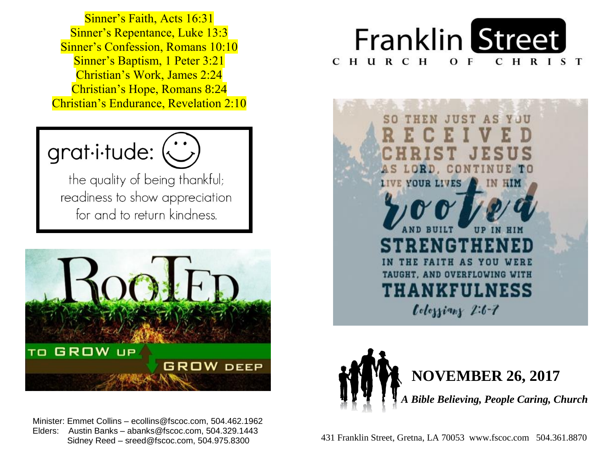Sinner's Confession, Romans 10:10  Sinner's Baptism, 1 Peter 3:21  Christian's Work, James 2:24  Christian's Hope, Romans 8:24  Christian's Endurance, Revelation 2:10  Sinner's Faith, Acts 16:31 Sinner's Repentance, Luke 13:3



the quality of being thankful; readiness to show appreciation for and to return kindness.



 Minister: Emmet Collins – ecollins@fscoc.com, 504.462.1962  Elders: Austin Banks – abanks@fscoc.com, 504.329.1443  Sidney Reed – sreed@fscoc.com, 504.975.8300







 431 Franklin Street, Gretna, LA 70053 www.fscoc.com 504.361.8870